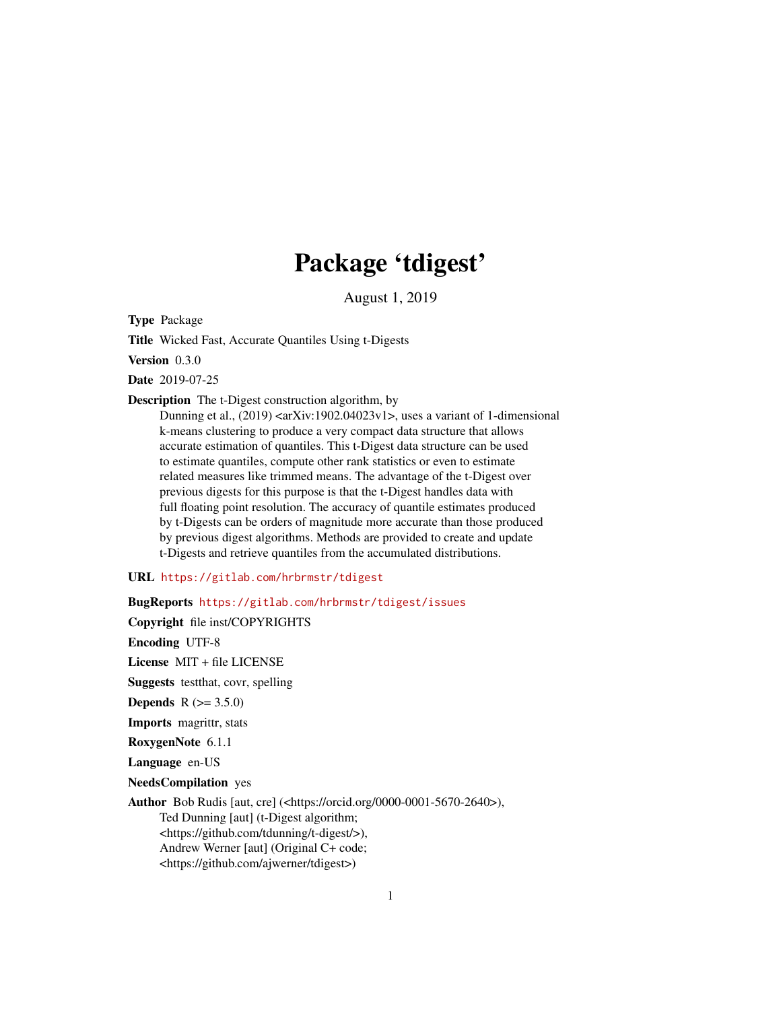# Package 'tdigest'

August 1, 2019

Type Package

Title Wicked Fast, Accurate Quantiles Using t-Digests

Version 0.3.0

Date 2019-07-25

Description The t-Digest construction algorithm, by

Dunning et al.,  $(2019)$  <arXiv:1902.04023v1>, uses a variant of 1-dimensional k-means clustering to produce a very compact data structure that allows accurate estimation of quantiles. This t-Digest data structure can be used to estimate quantiles, compute other rank statistics or even to estimate related measures like trimmed means. The advantage of the t-Digest over previous digests for this purpose is that the t-Digest handles data with full floating point resolution. The accuracy of quantile estimates produced by t-Digests can be orders of magnitude more accurate than those produced by previous digest algorithms. Methods are provided to create and update t-Digests and retrieve quantiles from the accumulated distributions.

#### URL <https://gitlab.com/hrbrmstr/tdigest>

BugReports <https://gitlab.com/hrbrmstr/tdigest/issues>

Copyright file inst/COPYRIGHTS Encoding UTF-8 License MIT + file LICENSE Suggests testthat, covr, spelling **Depends** R  $(>= 3.5.0)$ Imports magrittr, stats RoxygenNote 6.1.1 Language en-US NeedsCompilation yes Author Bob Rudis [aut, cre] (<https://orcid.org/0000-0001-5670-2640>), Ted Dunning [aut] (t-Digest algorithm; <https://github.com/tdunning/t-digest/>), Andrew Werner [aut] (Original C+ code; <https://github.com/ajwerner/tdigest>)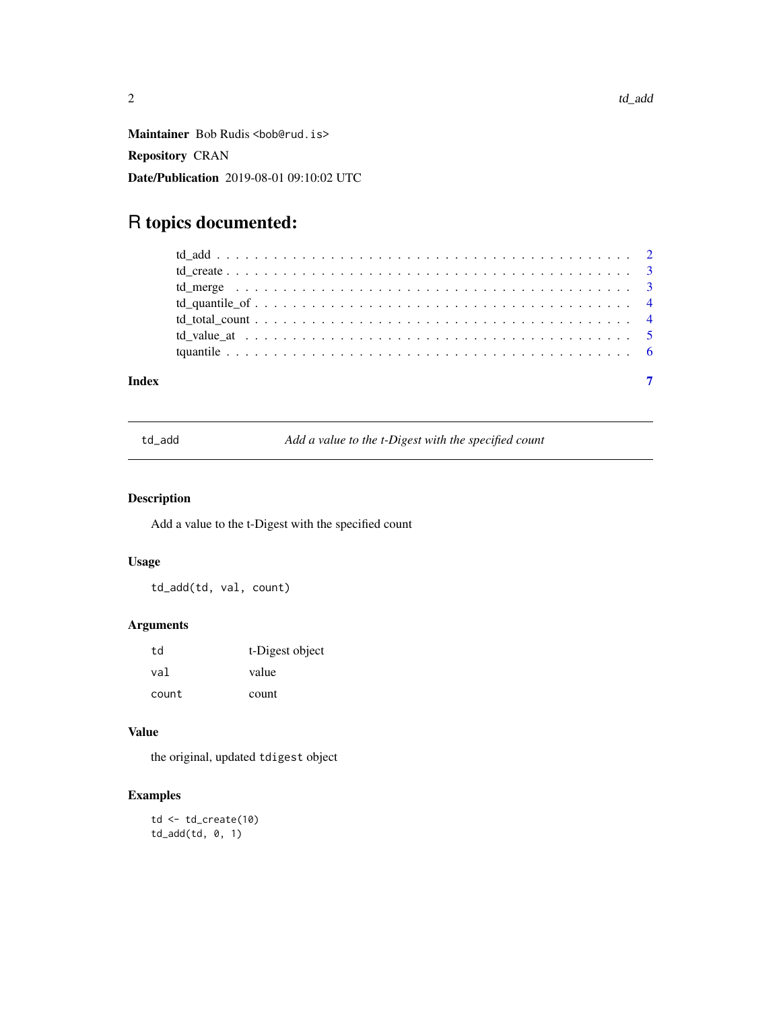<span id="page-1-0"></span>Maintainer Bob Rudis <br/>bob@rud.is> Repository CRAN Date/Publication 2019-08-01 09:10:02 UTC

## R topics documented:

| Index |  |
|-------|--|

td\_add *Add a value to the t-Digest with the specified count*

### Description

Add a value to the t-Digest with the specified count

#### Usage

td\_add(td, val, count)

#### Arguments

| td    | t-Digest object |
|-------|-----------------|
| val   | value           |
| count | count           |

#### Value

the original, updated tdigest object

#### Examples

```
td <- td_create(10)
td_add(td, 0, 1)
```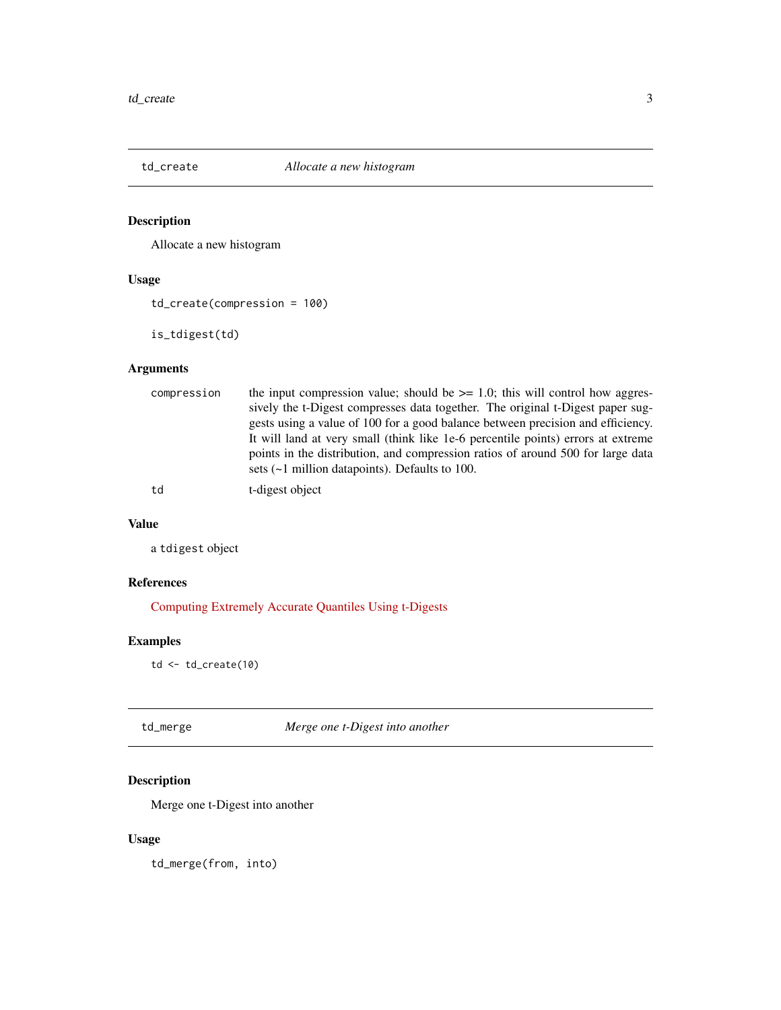<span id="page-2-0"></span>

### Description

Allocate a new histogram

#### Usage

td\_create(compression = 100)

is\_tdigest(td)

#### Arguments

| compression | the input compression value; should be $\ge$ = 1.0; this will control how aggres- |
|-------------|-----------------------------------------------------------------------------------|
|             | sively the t-Digest compresses data together. The original t-Digest paper sug-    |
|             | gests using a value of 100 for a good balance between precision and efficiency.   |
|             | It will land at very small (think like 1e-6 percentile points) errors at extreme  |
|             | points in the distribution, and compression ratios of around 500 for large data   |
|             | sets $(-1$ million datapoints). Defaults to 100.                                  |
|             |                                                                                   |

td t-digest object

#### Value

a tdigest object

#### References

[Computing Extremely Accurate Quantiles Using t-Digests](https://arxiv.org/abs/1902.04023)

#### Examples

td <- td\_create(10)

td\_merge *Merge one t-Digest into another*

### Description

Merge one t-Digest into another

#### Usage

td\_merge(from, into)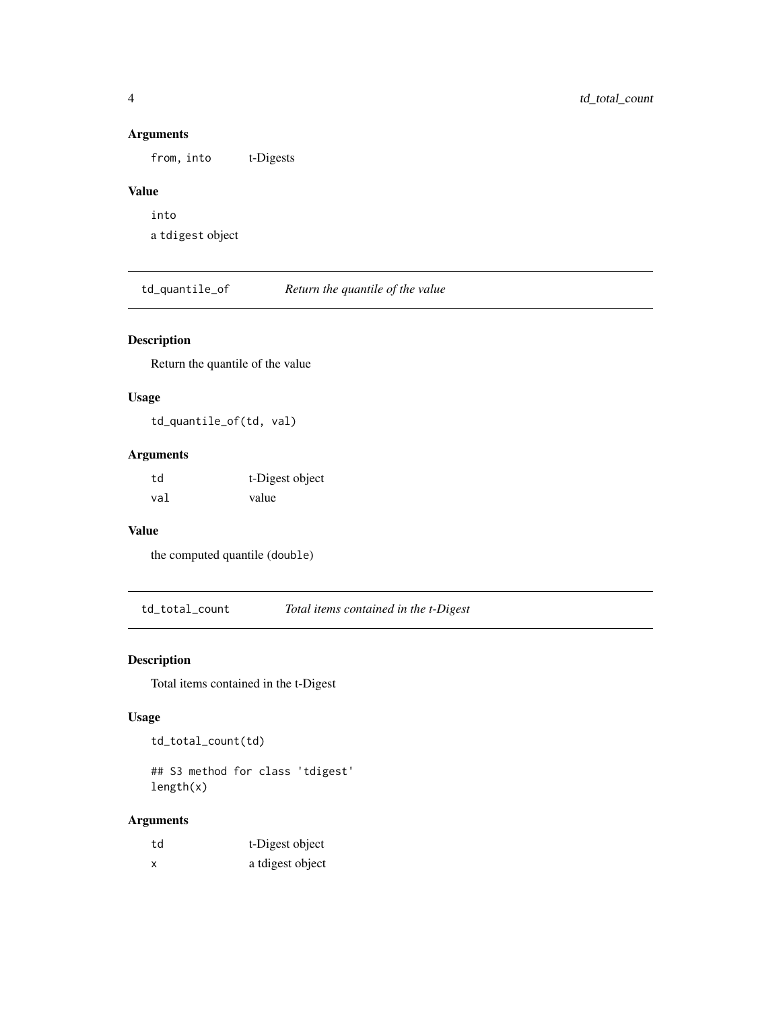#### Arguments

from, into t-Digests

### Value

into a tdigest object

td\_quantile\_of *Return the quantile of the value*

#### Description

Return the quantile of the value

#### Usage

td\_quantile\_of(td, val)

#### Arguments

| td  | t-Digest object |
|-----|-----------------|
| val | value           |

#### Value

the computed quantile (double)

td\_total\_count *Total items contained in the t-Digest*

#### Description

Total items contained in the t-Digest

#### Usage

td\_total\_count(td)

## S3 method for class 'tdigest' length(x)

### Arguments

| td | t-Digest object  |
|----|------------------|
| x  | a tdigest object |

<span id="page-3-0"></span>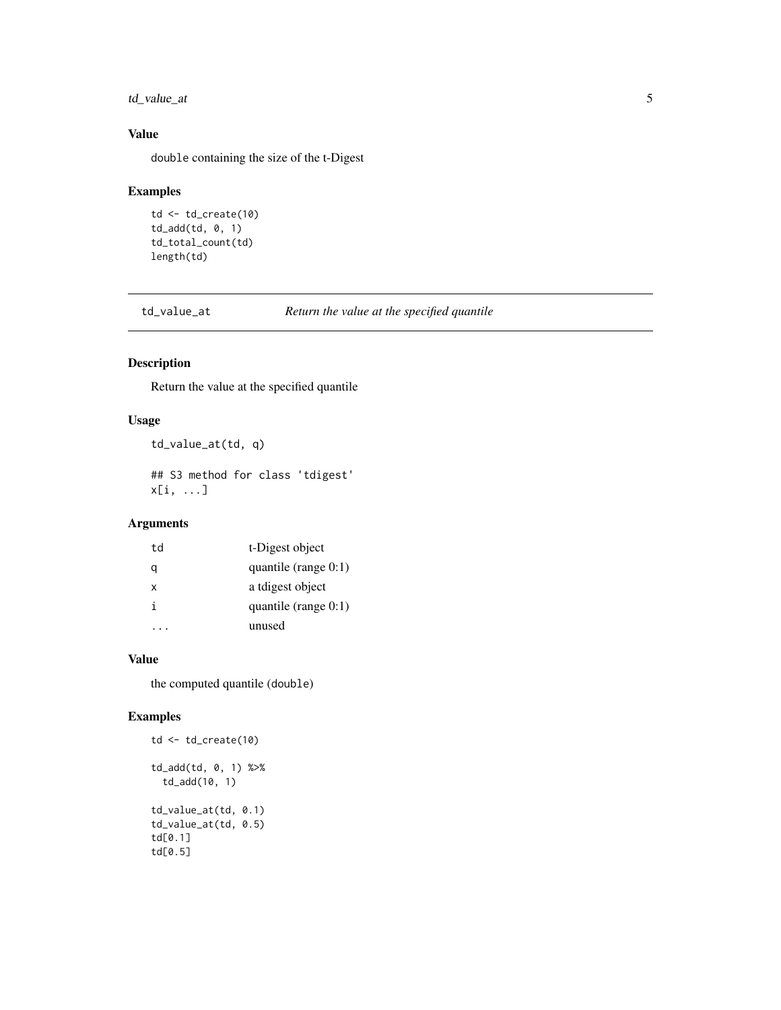<span id="page-4-0"></span>td\_value\_at 5

#### Value

double containing the size of the t-Digest

#### Examples

```
td \leftarrow td\_create(10)td_add(td, 0, 1)
td_total_count(td)
length(td)
```
td\_value\_at *Return the value at the specified quantile*

#### Description

Return the value at the specified quantile

#### Usage

```
td_value_at(td, q)
```
## S3 method for class 'tdigest' x[i, ...]

#### Arguments

| td | t-Digest object         |
|----|-------------------------|
| a  | quantile (range $0:1$ ) |
| x  | a tdigest object        |
| i  | quantile (range $0:1$ ) |
|    | unused                  |

#### Value

the computed quantile (double)

#### Examples

```
td <- td_create(10)
td_add(td, 0, 1) %>%
  td_add(10, 1)
td_value_at(td, 0.1)
td_value_at(td, 0.5)
td[0.1]
td[0.5]
```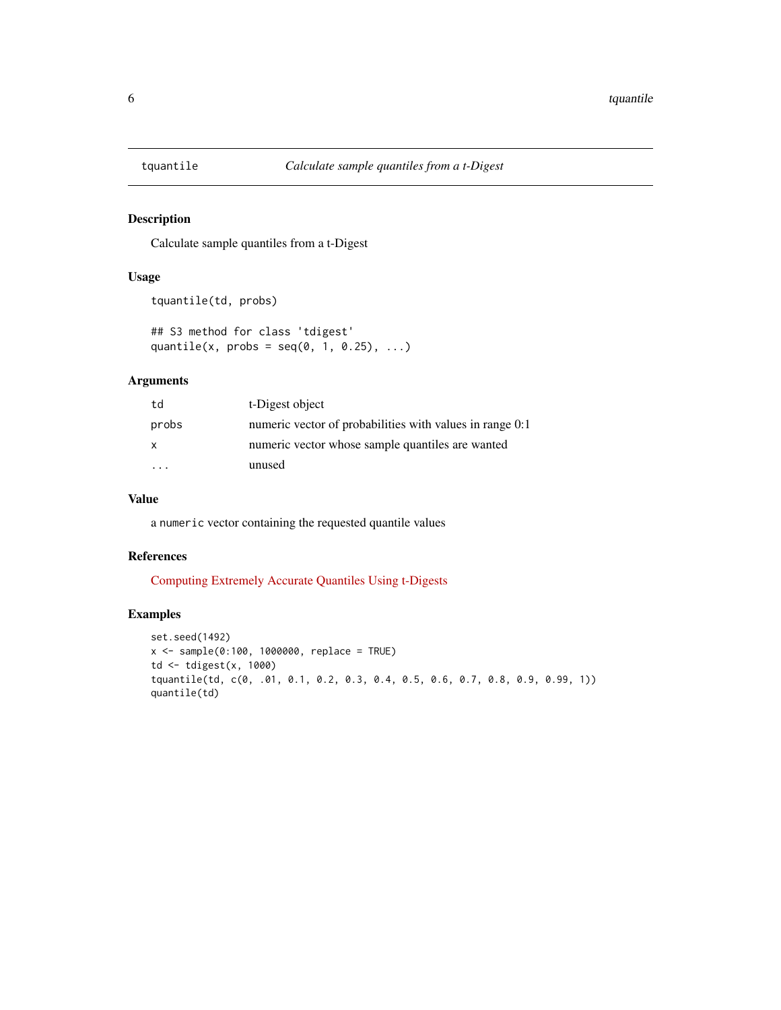<span id="page-5-0"></span>

#### Description

Calculate sample quantiles from a t-Digest

#### Usage

```
tquantile(td, probs)
```
## S3 method for class 'tdigest' quantile(x, probs =  $seq(0, 1, 0.25), ...$ )

#### Arguments

| td    | t-Digest object                                          |
|-------|----------------------------------------------------------|
| probs | numeric vector of probabilities with values in range 0:1 |
| X     | numeric vector whose sample quantiles are wanted         |
|       | unused                                                   |

### Value

a numeric vector containing the requested quantile values

#### References

[Computing Extremely Accurate Quantiles Using t-Digests](https://arxiv.org/abs/1902.04023)

#### Examples

```
set.seed(1492)
x <- sample(0:100, 1000000, replace = TRUE)
td <- tdigest(x, 1000)
tquantile(td, c(0, .01, 0.1, 0.2, 0.3, 0.4, 0.5, 0.6, 0.7, 0.8, 0.9, 0.99, 1))
quantile(td)
```